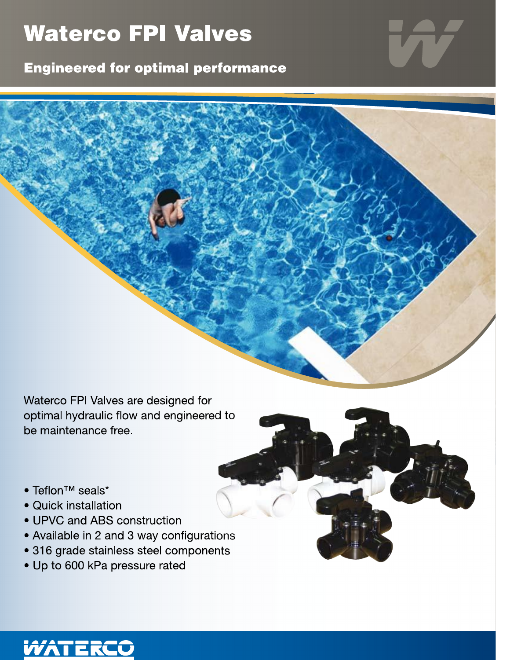# **Waterco FPI Valves**

**Engineered for optimal performance** 





Waterco FPI Valves are designed for optimal hydraulic flow and engineered to be maintenance free.

- Teflon<sup>™</sup> seals\*
- Quick installation
- UPVC and ABS construction
- Available in 2 and 3 way configurations
- 316 grade stainless steel components
- Up to 600 kPa pressure rated